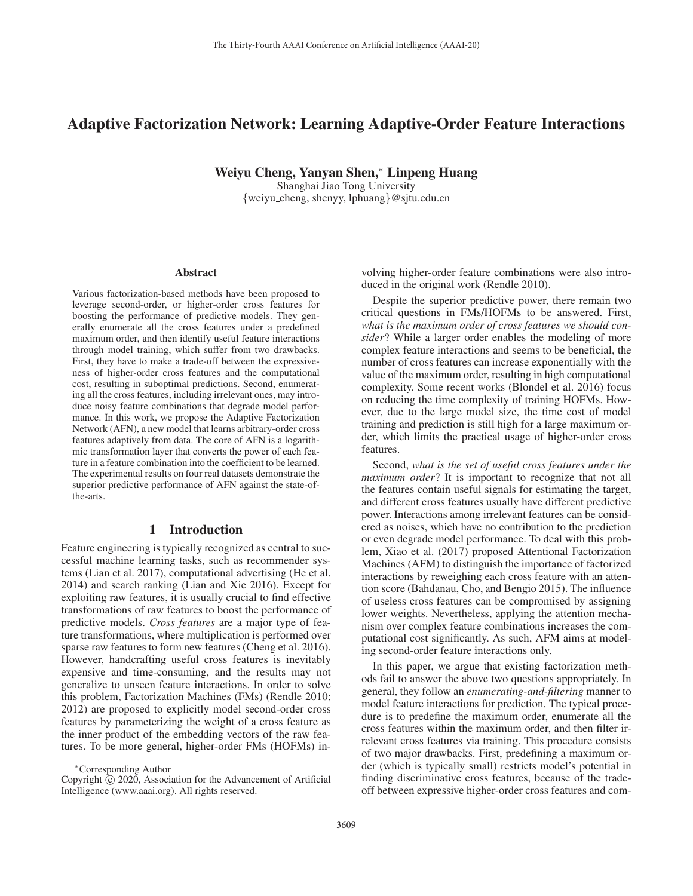# Adaptive Factorization Network: Learning Adaptive-Order Feature Interactions

Weiyu Cheng, Yanyan Shen,<sup>∗</sup> Linpeng Huang

Shanghai Jiao Tong University {weiyu cheng, shenyy, lphuang}@sjtu.edu.cn

#### Abstract

Various factorization-based methods have been proposed to leverage second-order, or higher-order cross features for boosting the performance of predictive models. They generally enumerate all the cross features under a predefined maximum order, and then identify useful feature interactions through model training, which suffer from two drawbacks. First, they have to make a trade-off between the expressiveness of higher-order cross features and the computational cost, resulting in suboptimal predictions. Second, enumerating all the cross features, including irrelevant ones, may introduce noisy feature combinations that degrade model performance. In this work, we propose the Adaptive Factorization Network (AFN), a new model that learns arbitrary-order cross features adaptively from data. The core of AFN is a logarithmic transformation layer that converts the power of each feature in a feature combination into the coefficient to be learned. The experimental results on four real datasets demonstrate the superior predictive performance of AFN against the state-ofthe-arts.

# 1 Introduction

Feature engineering is typically recognized as central to successful machine learning tasks, such as recommender systems (Lian et al. 2017), computational advertising (He et al. 2014) and search ranking (Lian and Xie 2016). Except for exploiting raw features, it is usually crucial to find effective transformations of raw features to boost the performance of predictive models. *Cross features* are a major type of feature transformations, where multiplication is performed over sparse raw features to form new features (Cheng et al. 2016). However, handcrafting useful cross features is inevitably expensive and time-consuming, and the results may not generalize to unseen feature interactions. In order to solve this problem, Factorization Machines (FMs) (Rendle 2010; 2012) are proposed to explicitly model second-order cross features by parameterizing the weight of a cross feature as the inner product of the embedding vectors of the raw features. To be more general, higher-order FMs (HOFMs) in-

volving higher-order feature combinations were also introduced in the original work (Rendle 2010).

Despite the superior predictive power, there remain two critical questions in FMs/HOFMs to be answered. First, *what is the maximum order of cross features we should consider*? While a larger order enables the modeling of more complex feature interactions and seems to be beneficial, the number of cross features can increase exponentially with the value of the maximum order, resulting in high computational complexity. Some recent works (Blondel et al. 2016) focus on reducing the time complexity of training HOFMs. However, due to the large model size, the time cost of model training and prediction is still high for a large maximum order, which limits the practical usage of higher-order cross features.

Second, *what is the set of useful cross features under the maximum order*? It is important to recognize that not all the features contain useful signals for estimating the target, and different cross features usually have different predictive power. Interactions among irrelevant features can be considered as noises, which have no contribution to the prediction or even degrade model performance. To deal with this problem, Xiao et al. (2017) proposed Attentional Factorization Machines (AFM) to distinguish the importance of factorized interactions by reweighing each cross feature with an attention score (Bahdanau, Cho, and Bengio 2015). The influence of useless cross features can be compromised by assigning lower weights. Nevertheless, applying the attention mechanism over complex feature combinations increases the computational cost significantly. As such, AFM aims at modeling second-order feature interactions only.

In this paper, we argue that existing factorization methods fail to answer the above two questions appropriately. In general, they follow an *enumerating-and-filtering* manner to model feature interactions for prediction. The typical procedure is to predefine the maximum order, enumerate all the cross features within the maximum order, and then filter irrelevant cross features via training. This procedure consists of two major drawbacks. First, predefining a maximum order (which is typically small) restricts model's potential in finding discriminative cross features, because of the tradeoff between expressive higher-order cross features and com-

<sup>∗</sup>Corresponding Author

Copyright  $\odot$  2020, Association for the Advancement of Artificial Intelligence (www.aaai.org). All rights reserved.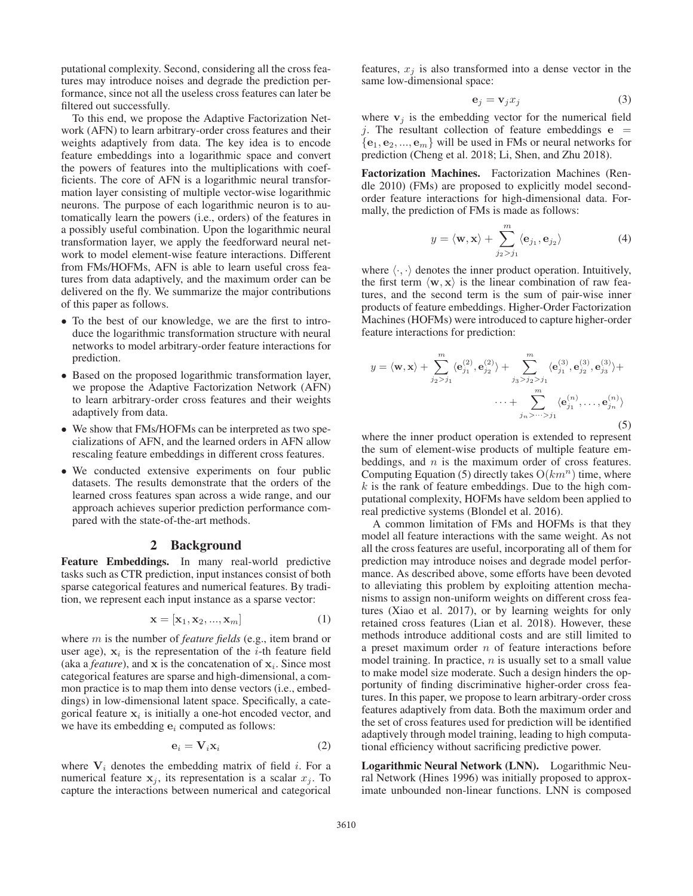putational complexity. Second, considering all the cross features may introduce noises and degrade the prediction performance, since not all the useless cross features can later be filtered out successfully.

To this end, we propose the Adaptive Factorization Network (AFN) to learn arbitrary-order cross features and their weights adaptively from data. The key idea is to encode feature embeddings into a logarithmic space and convert the powers of features into the multiplications with coefficients. The core of AFN is a logarithmic neural transformation layer consisting of multiple vector-wise logarithmic neurons. The purpose of each logarithmic neuron is to automatically learn the powers (i.e., orders) of the features in a possibly useful combination. Upon the logarithmic neural transformation layer, we apply the feedforward neural network to model element-wise feature interactions. Different from FMs/HOFMs, AFN is able to learn useful cross features from data adaptively, and the maximum order can be delivered on the fly. We summarize the major contributions of this paper as follows.

- To the best of our knowledge, we are the first to introduce the logarithmic transformation structure with neural networks to model arbitrary-order feature interactions for prediction.
- Based on the proposed logarithmic transformation layer, we propose the Adaptive Factorization Network (AFN) to learn arbitrary-order cross features and their weights adaptively from data.
- We show that FMs/HOFMs can be interpreted as two specializations of AFN, and the learned orders in AFN allow rescaling feature embeddings in different cross features.
- We conducted extensive experiments on four public datasets. The results demonstrate that the orders of the learned cross features span across a wide range, and our approach achieves superior prediction performance compared with the state-of-the-art methods.

### 2 Background

Feature Embeddings. In many real-world predictive tasks such as CTR prediction, input instances consist of both sparse categorical features and numerical features. By tradition, we represent each input instance as a sparse vector:

$$
\mathbf{x} = [\mathbf{x}_1, \mathbf{x}_2, ..., \mathbf{x}_m]
$$
 (1)

where m is the number of *feature fields* (e.g., item brand or user age),  $x_i$  is the representation of the *i*-th feature field (aka a *feature*), and **x** is the concatenation of  $x_i$ . Since most categorical features are sparse and high-dimensional, a common practice is to map them into dense vectors (i.e., embeddings) in low-dimensional latent space. Specifically, a categorical feature  $x_i$  is initially a one-hot encoded vector, and we have its embedding  $e_i$  computed as follows:

$$
\mathbf{e}_i = \mathbf{V}_i \mathbf{x}_i \tag{2}
$$

where  $V_i$  denotes the embedding matrix of field i. For a numerical feature  $x_j$ , its representation is a scalar  $x_j$ . To capture the interactions between numerical and categorical features,  $x_i$  is also transformed into a dense vector in the same low-dimensional space:

$$
\mathbf{e}_j = \mathbf{v}_j x_j \tag{3}
$$

where  $v_j$  is the embedding vector for the numerical field j. The resultant collection of feature embeddings  $e =$  $\{\mathbf e_1, \mathbf e_2, ..., \mathbf e_m\}$  will be used in FMs or neural networks for prediction (Cheng et al. 2018; Li, Shen, and Zhu 2018).

Factorization Machines. Factorization Machines (Rendle 2010) (FMs) are proposed to explicitly model secondorder feature interactions for high-dimensional data. Formally, the prediction of FMs is made as follows:

$$
y = \langle \mathbf{w}, \mathbf{x} \rangle + \sum_{j_2 > j_1}^{m} \langle \mathbf{e}_{j_1}, \mathbf{e}_{j_2} \rangle \tag{4}
$$

where  $\langle \cdot, \cdot \rangle$  denotes the inner product operation. Intuitively, the first term  $\langle \mathbf{w}, \mathbf{x} \rangle$  is the linear combination of raw feathe first term  $\langle w, x \rangle$  is the linear combination of raw fea-<br>tures, and the second term is the sum of pair-wise inner tures, and the second term is the sum of pair-wise inner products of feature embeddings. Higher-Order Factorization Machines (HOFMs) were introduced to capture higher-order feature interactions for prediction:

$$
y = \langle \mathbf{w}, \mathbf{x} \rangle + \sum_{j_2 > j_1}^{m} \langle \mathbf{e}_{j_1}^{(2)}, \mathbf{e}_{j_2}^{(2)} \rangle + \sum_{j_3 > j_2 > j_1}^{m} \langle \mathbf{e}_{j_1}^{(3)}, \mathbf{e}_{j_2}^{(3)}, \mathbf{e}_{j_3}^{(3)} \rangle + \cdots + \sum_{j_n > \dots > j_1}^{m} \langle \mathbf{e}_{j_1}^{(n)}, \dots, \mathbf{e}_{j_n}^{(n)} \rangle
$$
\n(5)

where the inner product operation is extended to represent the sum of element-wise products of multiple feature embeddings, and  $n$  is the maximum order of cross features. Computing Equation (5) directly takes  $O(km^n)$  time, where  $k$  is the rank of feature embeddings. Due to the high computational complexity, HOFMs have seldom been applied to real predictive systems (Blondel et al. 2016).

A common limitation of FMs and HOFMs is that they model all feature interactions with the same weight. As not all the cross features are useful, incorporating all of them for prediction may introduce noises and degrade model performance. As described above, some efforts have been devoted to alleviating this problem by exploiting attention mechanisms to assign non-uniform weights on different cross features (Xiao et al. 2017), or by learning weights for only retained cross features (Lian et al. 2018). However, these methods introduce additional costs and are still limited to a preset maximum order n of feature interactions before model training. In practice,  $n$  is usually set to a small value to make model size moderate. Such a design hinders the opportunity of finding discriminative higher-order cross features. In this paper, we propose to learn arbitrary-order cross features adaptively from data. Both the maximum order and the set of cross features used for prediction will be identified adaptively through model training, leading to high computational efficiency without sacrificing predictive power.

Logarithmic Neural Network (LNN). Logarithmic Neural Network (Hines 1996) was initially proposed to approximate unbounded non-linear functions. LNN is composed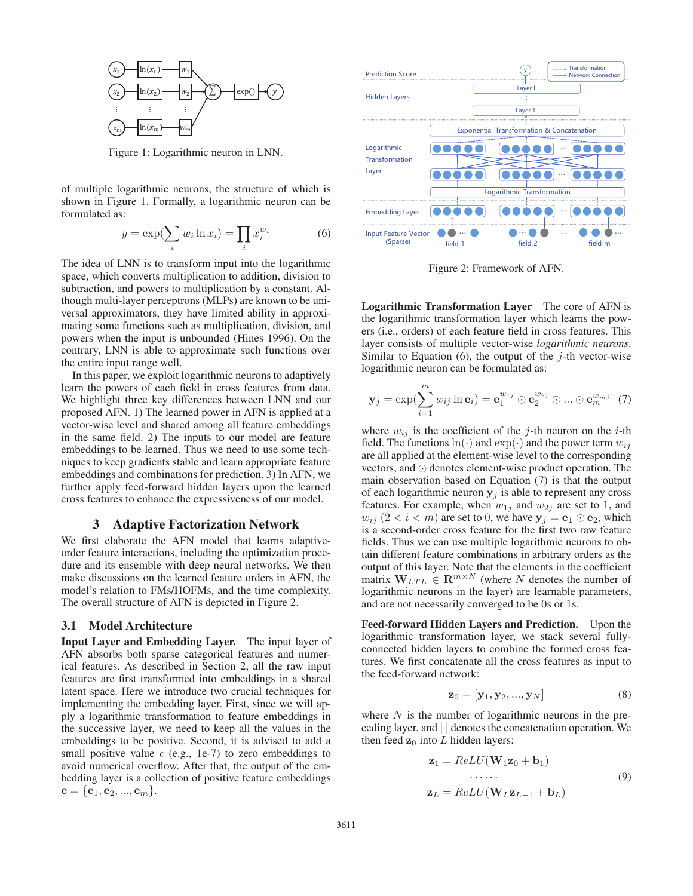

Figure 1: Logarithmic neuron in LNN.

of multiple logarithmic neurons, the structure of which is shown in Figure 1. Formally, a logarithmic neuron can be formulated as:

$$
y = \exp\left(\sum_{i} w_i \ln x_i\right) = \prod_{i} x_i^{w_i} \tag{6}
$$

The idea of LNN is to transform input into the logarithmic space, which converts multiplication to addition, division to subtraction, and powers to multiplication by a constant. Although multi-layer perceptrons (MLPs) are known to be universal approximators, they have limited ability in approximating some functions such as multiplication, division, and powers when the input is unbounded (Hines 1996). On the contrary, LNN is able to approximate such functions over the entire input range well.

In this paper, we exploit logarithmic neurons to adaptively learn the powers of each field in cross features from data. We highlight three key differences between LNN and our proposed AFN. 1) The learned power in AFN is applied at a vector-wise level and shared among all feature embeddings in the same field. 2) The inputs to our model are feature embeddings to be learned. Thus we need to use some techniques to keep gradients stable and learn appropriate feature embeddings and combinations for prediction. 3) In AFN, we further apply feed-forward hidden layers upon the learned cross features to enhance the expressiveness of our model.

#### 3 Adaptive Factorization Network

We first elaborate the AFN model that learns adaptiveorder feature interactions, including the optimization procedure and its ensemble with deep neural networks. We then make discussions on the learned feature orders in AFN, the model's relation to FMs/HOFMs, and the time complexity. The overall structure of AFN is depicted in Figure 2.

#### 3.1 Model Architecture

Input Layer and Embedding Layer. The input layer of AFN absorbs both sparse categorical features and numerical features. As described in Section 2, all the raw input features are first transformed into embeddings in a shared latent space. Here we introduce two crucial techniques for implementing the embedding layer. First, since we will apply a logarithmic transformation to feature embeddings in the successive layer, we need to keep all the values in the embeddings to be positive. Second, it is advised to add a small positive value  $\epsilon$  (e.g., 1e-7) to zero embeddings to avoid numerical overflow. After that the output of the emavoid numerical overflow. After that, the output of the embedding layer is a collection of positive feature embeddings  $e = \{e_1, e_2, ..., e_m\}.$ 



Figure 2: Framework of AFN.

Logarithmic Transformation Layer The core of AFN is the logarithmic transformation layer which learns the powers (i.e., orders) of each feature field in cross features. This layer consists of multiple vector-wise *logarithmic neurons*. Similar to Equation (6), the output of the  $j$ -th vector-wise logarithmic neuron can be formulated as:

$$
\mathbf{y}_j = \exp\left(\sum_{i=1}^m w_{ij} \ln \mathbf{e}_i\right) = \mathbf{e}_1^{w_{1j}} \odot \mathbf{e}_2^{w_{2j}} \odot \dots \odot \mathbf{e}_m^{w_{mj}} \tag{7}
$$

where  $w_{ij}$  is the coefficient of the j-th neuron on the *i*-th field. The functions  $\ln(\cdot)$  and  $\exp(\cdot)$  and the power term  $w_{ij}$ are all applied at the element-wise level to the corresponding vectors, and  $\odot$  denotes element-wise product operation. The main observation based on Equation (7) is that the output of each logarithmic neuron  $y_j$  is able to represent any cross features. For example, when  $w_{1j}$  and  $w_{2j}$  are set to 1, and  $w_{ij}$  (2 < i < m) are set to 0, we have  $\mathbf{y}_j = \mathbf{e}_1 \odot \mathbf{e}_2$ , which is a second-order cross feature for the first two raw feature fields. Thus we can use multiple logarithmic neurons to obtain different feature combinations in arbitrary orders as the output of this layer. Note that the elements in the coefficient matrix  $\mathbf{W}_{LTL} \in \mathbf{R}^{m \times N}$  (where N denotes the number of logarithmic neurons in the layer) are learnable parameters logarithmic neurons in the layer) are learnable parameters, and are not necessarily converged to be 0s or 1s.

Feed-forward Hidden Layers and Prediction. Upon the logarithmic transformation layer, we stack several fullyconnected hidden layers to combine the formed cross features. We first concatenate all the cross features as input to the feed-forward network:

$$
\mathbf{z}_0 = [\mathbf{y}_1, \mathbf{y}_2, ..., \mathbf{y}_N] \tag{8}
$$

where  $N$  is the number of logarithmic neurons in the preceding layer, and [ ] denotes the concatenation operation. We then feed  $z_0$  into L hidden layers:

$$
\mathbf{z}_1 = ReLU(\mathbf{W}_1 \mathbf{z}_0 + \mathbf{b}_1)
$$
  
...... (9)  

$$
\mathbf{z}_L = ReLU(\mathbf{W}_L \mathbf{z}_{L-1} + \mathbf{b}_L)
$$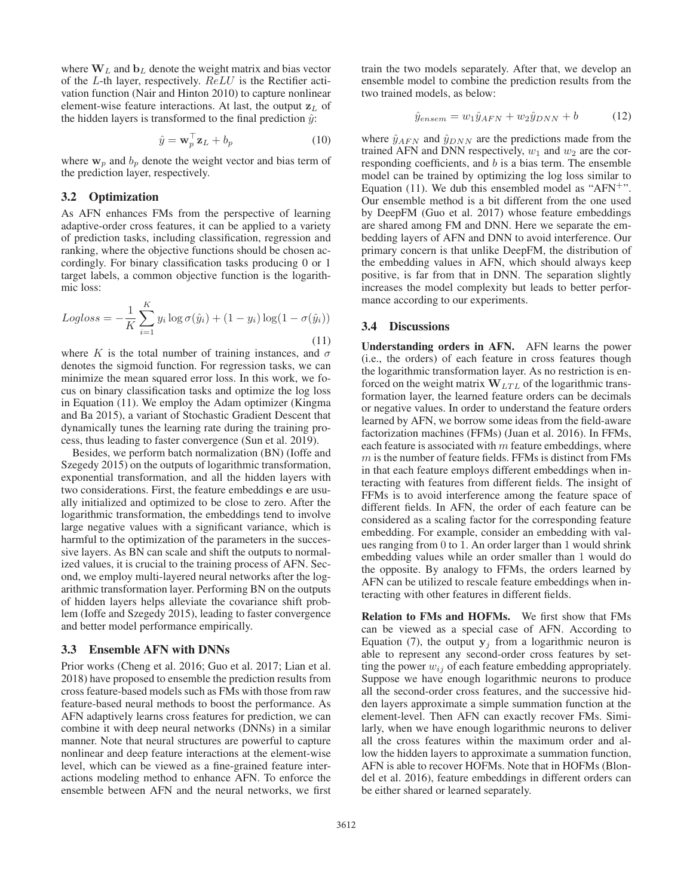where  $W_L$  and  $b_L$  denote the weight matrix and bias vector of the L-th layer, respectively. ReLU is the Rectifier activation function (Nair and Hinton 2010) to capture nonlinear element-wise feature interactions. At last, the output  $\mathbf{z}_L$  of the hidden layers is transformed to the final prediction  $\hat{y}$ :

$$
\hat{y} = \mathbf{w}_p^\top \mathbf{z}_L + b_p \tag{10}
$$

where  $w_p$  and  $b_p$  denote the weight vector and bias term of the prediction layer, respectively.

# 3.2 Optimization

As AFN enhances FMs from the perspective of learning adaptive-order cross features, it can be applied to a variety of prediction tasks, including classification, regression and ranking, where the objective functions should be chosen accordingly. For binary classification tasks producing 0 or 1 target labels, a common objective function is the logarithmic loss:

$$
Logloss = -\frac{1}{K} \sum_{i=1}^{K} y_i \log \sigma(\hat{y}_i) + (1 - y_i) \log(1 - \sigma(\hat{y}_i))
$$
\n(11)

where K is the total number of training instances, and  $\sigma$ denotes the sigmoid function. For regression tasks, we can minimize the mean squared error loss. In this work, we focus on binary classification tasks and optimize the log loss in Equation (11). We employ the Adam optimizer (Kingma and Ba 2015), a variant of Stochastic Gradient Descent that dynamically tunes the learning rate during the training process, thus leading to faster convergence (Sun et al. 2019).

Besides, we perform batch normalization (BN) (Ioffe and Szegedy 2015) on the outputs of logarithmic transformation, exponential transformation, and all the hidden layers with two considerations. First, the feature embeddings **e** are usually initialized and optimized to be close to zero. After the logarithmic transformation, the embeddings tend to involve large negative values with a significant variance, which is harmful to the optimization of the parameters in the successive layers. As BN can scale and shift the outputs to normalized values, it is crucial to the training process of AFN. Second, we employ multi-layered neural networks after the logarithmic transformation layer. Performing BN on the outputs of hidden layers helps alleviate the covariance shift problem (Ioffe and Szegedy 2015), leading to faster convergence and better model performance empirically.

### 3.3 Ensemble AFN with DNNs

Prior works (Cheng et al. 2016; Guo et al. 2017; Lian et al. 2018) have proposed to ensemble the prediction results from cross feature-based models such as FMs with those from raw feature-based neural methods to boost the performance. As AFN adaptively learns cross features for prediction, we can combine it with deep neural networks (DNNs) in a similar manner. Note that neural structures are powerful to capture nonlinear and deep feature interactions at the element-wise level, which can be viewed as a fine-grained feature interactions modeling method to enhance AFN. To enforce the ensemble between AFN and the neural networks, we first

train the two models separately. After that, we develop an ensemble model to combine the prediction results from the two trained models, as below:

$$
\hat{y}_{ensemble} = w_1 \hat{y}_{AFN} + w_2 \hat{y}_{DNN} + b \tag{12}
$$

where  $\hat{y}_{AFN}$  and  $\hat{y}_{DNN}$  are the predictions made from the trained AFN and DNN respectively,  $w_1$  and  $w_2$  are the corresponding coefficients, and b is a bias term. The ensemble model can be trained by optimizing the log loss similar to Equation (11). We dub this ensembled model as " $AFN^{+}$ ". Our ensemble method is a bit different from the one used by DeepFM (Guo et al. 2017) whose feature embeddings are shared among FM and DNN. Here we separate the embedding layers of AFN and DNN to avoid interference. Our primary concern is that unlike DeepFM, the distribution of the embedding values in AFN, which should always keep positive, is far from that in DNN. The separation slightly increases the model complexity but leads to better performance according to our experiments.

### 3.4 Discussions

Understanding orders in AFN. AFN learns the power (i.e., the orders) of each feature in cross features though the logarithmic transformation layer. As no restriction is enforced on the weight matrix  $W<sub>LTL</sub>$  of the logarithmic transformation layer, the learned feature orders can be decimals or negative values. In order to understand the feature orders learned by AFN, we borrow some ideas from the field-aware factorization machines (FFMs) (Juan et al. 2016). In FFMs, each feature is associated with  $m$  feature embeddings, where  $m$  is the number of feature fields. FFMs is distinct from FMs in that each feature employs different embeddings when interacting with features from different fields. The insight of FFMs is to avoid interference among the feature space of different fields. In AFN, the order of each feature can be considered as a scaling factor for the corresponding feature embedding. For example, consider an embedding with values ranging from 0 to 1. An order larger than 1 would shrink embedding values while an order smaller than 1 would do the opposite. By analogy to FFMs, the orders learned by AFN can be utilized to rescale feature embeddings when interacting with other features in different fields.

Relation to FMs and HOFMs. We first show that FMs can be viewed as a special case of AFN. According to Equation (7), the output  $y_j$  from a logarithmic neuron is able to represent any second-order cross features by setting the power  $w_{ij}$  of each feature embedding appropriately. Suppose we have enough logarithmic neurons to produce all the second-order cross features, and the successive hidden layers approximate a simple summation function at the element-level. Then AFN can exactly recover FMs. Similarly, when we have enough logarithmic neurons to deliver all the cross features within the maximum order and allow the hidden layers to approximate a summation function, AFN is able to recover HOFMs. Note that in HOFMs (Blondel et al. 2016), feature embeddings in different orders can be either shared or learned separately.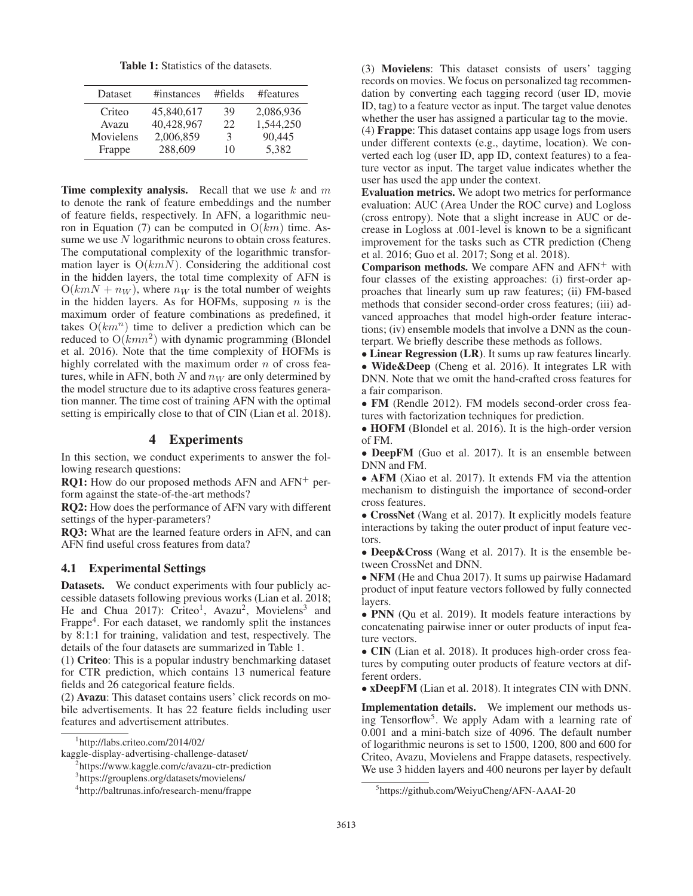Table 1: Statistics of the datasets.

| <b>Dataset</b> | #instances | #fields | #features |
|----------------|------------|---------|-----------|
| Criteo         | 45,840,617 | 39      | 2,086,936 |
| Avazu          | 40,428,967 | 22      | 1,544,250 |
| Movielens      | 2,006,859  | 3       | 90.445    |
| Frappe         | 288,609    | 10      | 5.382     |

**Time complexity analysis.** Recall that we use  $k$  and  $m$ to denote the rank of feature embeddings and the number of feature fields, respectively. In AFN, a logarithmic neuron in Equation (7) can be computed in  $O(km)$  time. Assume we use N logarithmic neurons to obtain cross features. The computational complexity of the logarithmic transformation layer is  $O(kmN)$ . Considering the additional cost in the hidden layers, the total time complexity of AFN is  $O(kmN + n_W)$ , where  $n_W$  is the total number of weights in the hidden layers. As for HOFMs, supposing  $n$  is the maximum order of feature combinations as predefined, it takes  $O(km^n)$  time to deliver a prediction which can be reduced to  $O(kmn^2)$  with dynamic programming (Blondel et al. 2016). Note that the time complexity of HOFMs is highly correlated with the maximum order  $n$  of cross features, while in AFN, both  $N$  and  $n_W$  are only determined by the model structure due to its adaptive cross features generation manner. The time cost of training AFN with the optimal setting is empirically close to that of CIN (Lian et al. 2018).

# 4 Experiments

In this section, we conduct experiments to answer the following research questions:

**RQ1:** How do our proposed methods AFN and  $AFN^+$  perform against the state-of-the-art methods?

RQ2: How does the performance of AFN vary with different settings of the hyper-parameters?

RQ3: What are the learned feature orders in AFN, and can AFN find useful cross features from data?

# 4.1 Experimental Settings

Datasets. We conduct experiments with four publicly accessible datasets following previous works (Lian et al. 2018; He and Chua 2017): Criteo<sup>1</sup>, Avazu<sup>2</sup>, Movielens<sup>3</sup> and Frappe<sup>4</sup>. For each dataset, we randomly split the instances by 8:1:1 for training, validation and test, respectively. The details of the four datasets are summarized in Table 1.

(1) Criteo: This is a popular industry benchmarking dataset for CTR prediction, which contains 13 numerical feature fields and 26 categorical feature fields.

(2) Avazu: This dataset contains users' click records on mobile advertisements. It has 22 feature fields including user features and advertisement attributes.

(3) Movielens: This dataset consists of users' tagging records on movies. We focus on personalized tag recommendation by converting each tagging record (user ID, movie ID, tag) to a feature vector as input. The target value denotes whether the user has assigned a particular tag to the movie. (4) Frappe: This dataset contains app usage logs from users under different contexts (e.g., daytime, location). We converted each log (user ID, app ID, context features) to a fea-

ture vector as input. The target value indicates whether the user has used the app under the context.

Evaluation metrics. We adopt two metrics for performance evaluation: AUC (Area Under the ROC curve) and Logloss (cross entropy). Note that a slight increase in AUC or decrease in Logloss at .001-level is known to be a significant improvement for the tasks such as CTR prediction (Cheng et al. 2016; Guo et al. 2017; Song et al. 2018).

**Comparison methods.** We compare AFN and  $AFN<sup>+</sup>$  with four classes of the existing approaches: (i) first-order approaches that linearly sum up raw features; (ii) FM-based methods that consider second-order cross features; (iii) advanced approaches that model high-order feature interactions; (iv) ensemble models that involve a DNN as the counterpart. We briefly describe these methods as follows.

• Linear Regression (LR). It sums up raw features linearly.

• Wide&Deep (Cheng et al. 2016). It integrates LR with DNN. Note that we omit the hand-crafted cross features for a fair comparison.

• FM (Rendle 2012). FM models second-order cross features with factorization techniques for prediction.

• HOFM (Blondel et al. 2016). It is the high-order version of FM.

• DeepFM (Guo et al. 2017). It is an ensemble between DNN and FM.

• AFM (Xiao et al. 2017). It extends FM via the attention mechanism to distinguish the importance of second-order cross features.

• CrossNet (Wang et al. 2017). It explicitly models feature interactions by taking the outer product of input feature vectors.

• Deep&Cross (Wang et al. 2017). It is the ensemble between CrossNet and DNN.

• NFM (He and Chua 2017). It sums up pairwise Hadamard product of input feature vectors followed by fully connected layers.

• PNN (Qu et al. 2019). It models feature interactions by concatenating pairwise inner or outer products of input feature vectors.

• CIN (Lian et al. 2018). It produces high-order cross features by computing outer products of feature vectors at different orders.

• xDeepFM (Lian et al. 2018). It integrates CIN with DNN.

Implementation details. We implement our methods using Tensorflow<sup>5</sup>. We apply Adam with a learning rate of 0.001 and a mini-batch size of 4096. The default number of logarithmic neurons is set to 1500, 1200, 800 and 600 for Criteo, Avazu, Movielens and Frappe datasets, respectively. We use 3 hidden layers and 400 neurons per layer by default

<sup>1</sup> http://labs.criteo.com/2014/02/

kaggle-display-advertising-challenge-dataset/

<sup>2</sup> https://www.kaggle.com/c/avazu-ctr-prediction

<sup>3</sup> https://grouplens.org/datasets/movielens/

<sup>4</sup> http://baltrunas.info/research-menu/frappe

<sup>5</sup> https://github.com/WeiyuCheng/AFN-AAAI-20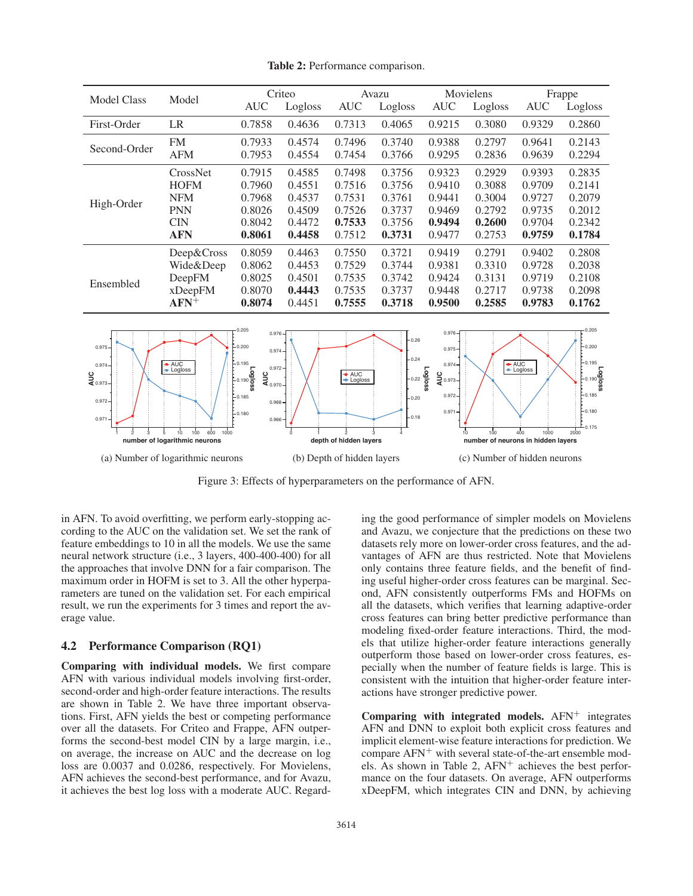Model Class Model Criteo Avazu Movielens Frappe AUC Logloss AUC Logloss AUC Logloss AUC Logloss First-Order LR 0.7858 0.4636 0.7313 0.4065 0.9215 0.3080 0.9329 0.2860 Second-Order FM 0.7933 0.4574 0.7496 0.3740 0.9388 0.2797 0.9641 0.2143 AFM 0.7953 0.4554 0.7454 0.3766 0.9295 0.2836 0.9639 0.2294 High-Order CrossNet 0.7915 0.4585 0.7498 0.3756 0.9323 0.2929 0.9393 0.2835 HOFM 0.7960 0.4551 0.7516 0.3756 0.9410 0.3088 0.9709 0.2141 NFM 0.7968 0.4537 0.7531 0.3761 0.9441 0.3004 0.9727 0.2079 PNN 0.8026 0.4509 0.7526 0.3737 0.9469 0.2792 0.9735 0.2012 CIN 0.8042 0.4472 0.7533 0.3756 0.9494 0.2600 0.9704 0.2342 AFN 0.8061 0.4458 0.7512 0.3731 0.9477 0.2753 0.9759 0.1784 Ensembled Deep&Cross 0.8059 0.4463 0.7550 0.3721 0.9419 0.2791 0.9402 0.2808 Wide&Deep 0.8062 0.4453 0.7529 0.3744 0.9381 0.3310 0.9728 0.2038 DeepFM 0.8025 0.4501 0.7535 0.3742 0.9424 0.3131 0.9719 0.2108 xDeepFM 0.8070 0.4443 0.7535 0.3737 0.9448 0.2717 0.9738 0.2098  $\text{AFN}^+$  0.8074 0.4451 0.7555 0.3718 0.9500 0.2585 0.9783 0.1762 AUC Logloss **a**<br>¶ 0.973 0.971 0.972 0.974 0.975 **Logloss** 0.190 0.180 0.185 0.195 0.200 0.205 **number of logarithmic neurons** 1 2 3 5 10 100 600 1000 (a) Number of logarithmic neurons AUC Logloss **a**<br>Eco.970 0.966 0.968 0.972 0.974 0.976 **Logloss** 0.18  $-0.20$  $0.22$ 0.24 0.26 **depth of hidden layers** 01234 (b) Depth of hidden layers AUC Logloss g<br>⋜°°373  $0.97$ 0.972 0.974 0.975 0.976 **Logloss** 0.175 0.180 0.185 0.190 0.195  $200$ 0.205 **number of neurons in hidden layers** 10 100 400 1000 2000 (c) Number of hidden neurons

Table 2: Performance comparison.

Figure 3: Effects of hyperparameters on the performance of AFN.

in AFN. To avoid overfitting, we perform early-stopping according to the AUC on the validation set. We set the rank of feature embeddings to 10 in all the models. We use the same neural network structure (i.e., 3 layers, 400-400-400) for all the approaches that involve DNN for a fair comparison. The maximum order in HOFM is set to 3. All the other hyperparameters are tuned on the validation set. For each empirical result, we run the experiments for 3 times and report the average value.

# 4.2 Performance Comparison (RQ1)

Comparing with individual models. We first compare AFN with various individual models involving first-order, second-order and high-order feature interactions. The results are shown in Table 2. We have three important observations. First, AFN yields the best or competing performance over all the datasets. For Criteo and Frappe, AFN outperforms the second-best model CIN by a large margin, i.e., on average, the increase on AUC and the decrease on log loss are 0.0037 and 0.0286, respectively. For Movielens, AFN achieves the second-best performance, and for Avazu, it achieves the best log loss with a moderate AUC. Regarding the good performance of simpler models on Movielens and Avazu, we conjecture that the predictions on these two datasets rely more on lower-order cross features, and the advantages of AFN are thus restricted. Note that Movielens only contains three feature fields, and the benefit of finding useful higher-order cross features can be marginal. Second, AFN consistently outperforms FMs and HOFMs on all the datasets, which verifies that learning adaptive-order cross features can bring better predictive performance than modeling fixed-order feature interactions. Third, the models that utilize higher-order feature interactions generally outperform those based on lower-order cross features, especially when the number of feature fields is large. This is consistent with the intuition that higher-order feature interactions have stronger predictive power.

Comparing with integrated models.  $AFN^+$  integrates AFN and DNN to exploit both explicit cross features and implicit element-wise feature interactions for prediction. We compare AFN<sup>+</sup> with several state-of-the-art ensemble models. As shown in Table 2,  $AFN<sup>+</sup>$  achieves the best performance on the four datasets. On average, AFN outperforms xDeepFM, which integrates CIN and DNN, by achieving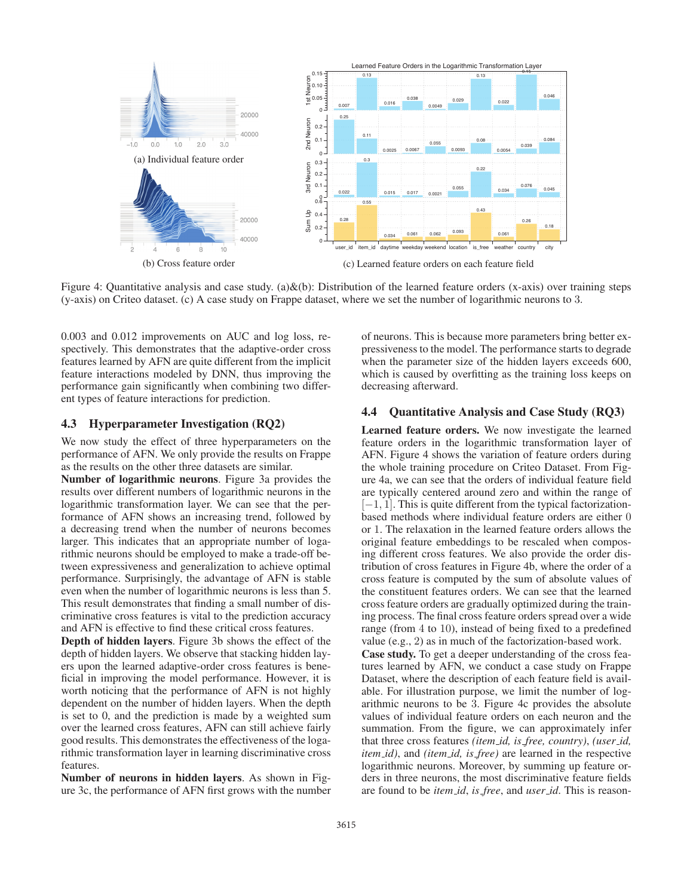

Figure 4: Quantitative analysis and case study. (a) $\&$ (b): Distribution of the learned feature orders (x-axis) over training steps (y-axis) on Criteo dataset. (c) A case study on Frappe dataset, where we set the number of logarithmic neurons to 3.

0.003 and 0.012 improvements on AUC and log loss, respectively. This demonstrates that the adaptive-order cross features learned by AFN are quite different from the implicit feature interactions modeled by DNN, thus improving the performance gain significantly when combining two different types of feature interactions for prediction.

# 4.3 Hyperparameter Investigation (RQ2)

We now study the effect of three hyperparameters on the performance of AFN. We only provide the results on Frappe as the results on the other three datasets are similar.

Number of logarithmic neurons. Figure 3a provides the results over different numbers of logarithmic neurons in the logarithmic transformation layer. We can see that the performance of AFN shows an increasing trend, followed by a decreasing trend when the number of neurons becomes larger. This indicates that an appropriate number of logarithmic neurons should be employed to make a trade-off between expressiveness and generalization to achieve optimal performance. Surprisingly, the advantage of AFN is stable even when the number of logarithmic neurons is less than 5. This result demonstrates that finding a small number of discriminative cross features is vital to the prediction accuracy and AFN is effective to find these critical cross features.

Depth of hidden layers. Figure 3b shows the effect of the depth of hidden layers. We observe that stacking hidden layers upon the learned adaptive-order cross features is beneficial in improving the model performance. However, it is worth noticing that the performance of AFN is not highly dependent on the number of hidden layers. When the depth is set to 0, and the prediction is made by a weighted sum over the learned cross features, AFN can still achieve fairly good results. This demonstrates the effectiveness of the logarithmic transformation layer in learning discriminative cross features.

Number of neurons in hidden layers. As shown in Figure 3c, the performance of AFN first grows with the number of neurons. This is because more parameters bring better expressiveness to the model. The performance starts to degrade when the parameter size of the hidden layers exceeds 600, which is caused by overfitting as the training loss keeps on decreasing afterward.

# 4.4 Quantitative Analysis and Case Study (RQ3)

Learned feature orders. We now investigate the learned feature orders in the logarithmic transformation layer of AFN. Figure 4 shows the variation of feature orders during the whole training procedure on Criteo Dataset. From Figure 4a, we can see that the orders of individual feature field are typically centered around zero and within the range of  $[-1, 1]$ . This is quite different from the typical factorizationbased methods where individual feature orders are either 0 or 1. The relaxation in the learned feature orders allows the original feature embeddings to be rescaled when composing different cross features. We also provide the order distribution of cross features in Figure 4b, where the order of a cross feature is computed by the sum of absolute values of the constituent features orders. We can see that the learned cross feature orders are gradually optimized during the training process. The final cross feature orders spread over a wide range (from 4 to 10), instead of being fixed to a predefined value (e.g., 2) as in much of the factorization-based work.

Case study. To get a deeper understanding of the cross features learned by AFN, we conduct a case study on Frappe Dataset, where the description of each feature field is available. For illustration purpose, we limit the number of logarithmic neurons to be 3. Figure 4c provides the absolute values of individual feature orders on each neuron and the summation. From the figure, we can approximately infer that three cross features *(item id, is free, country)*, *(user id, item id)*, and *(item id, is free)* are learned in the respective logarithmic neurons. Moreover, by summing up feature orders in three neurons, the most discriminative feature fields are found to be *item id*, *is free*, and *user id*. This is reason